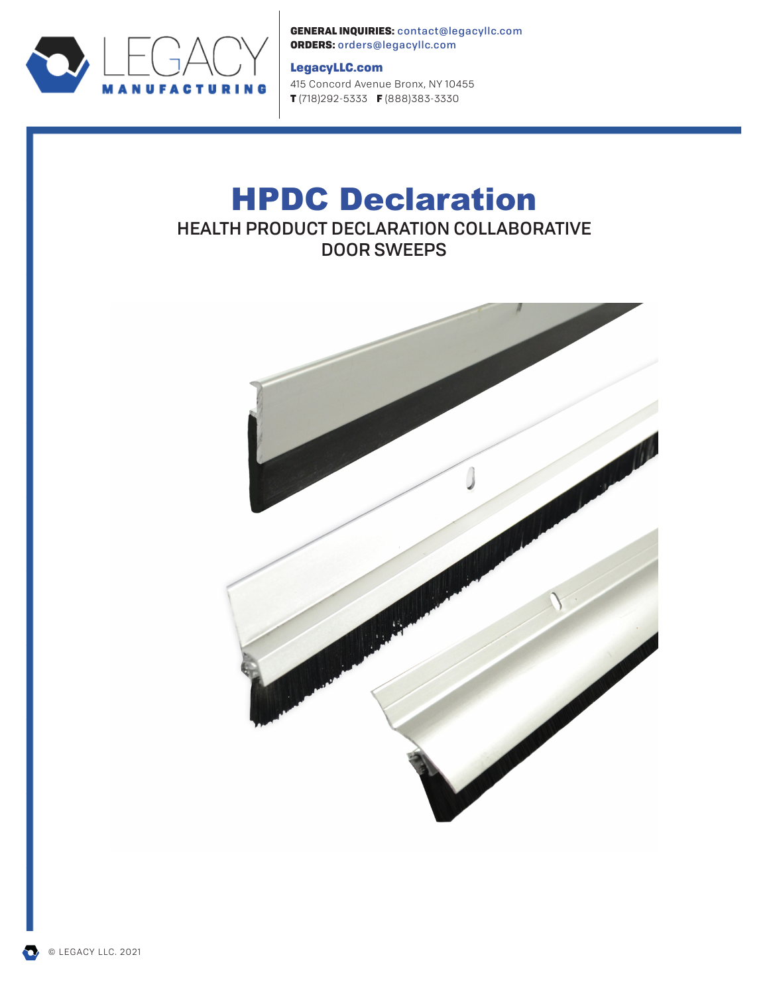

GENERAL INQUIRIES: contact@legacyllc.com ORDERS: orders@legacyllc.com

## LegacyLLC.com

415 Concord Avenue Bronx, NY 10455 T (718) 292-5333 F (888) 383-3330

# HPDC Declaration HEALTH PRODUCT DECLARATION COLLABORATIVE DOOR SWEEPS



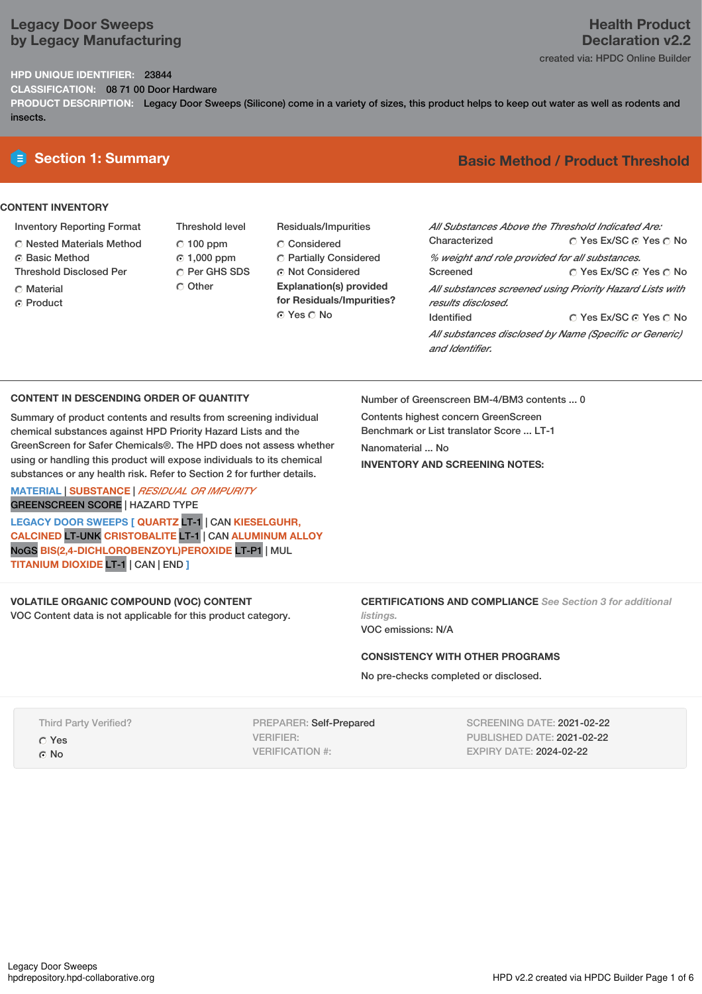## **Legacy Door Sweeps by Legacy Manufacturing**

## **HPD UNIQUE IDENTIFIER:** 23844

**CLASSIFICATION:** 08 71 00 Door Hardware

**PRODUCT DESCRIPTION:** Legacy Door Sweeps (Silicone) come in a variety of sizes, this product helps to keep out water as well as rodents and insects.

## **CONTENT INVENTORY**

- Inventory Reporting Format
- Nested Materials Method
- **6** Basic Method
- Threshold Disclosed Per
- C Material ⊙ Product
- Threshold level  $C$  100 ppm 1,000 ppm C Per GHS SDS Other
- Residuals/Impurities Considered Partially Considered **C** Not Considered **Explanation(s) provided for Residuals/Impurities?** ⊙ Yes O No

## **E** Section 1: Summary **Basic Method / Product Threshold**

| All Substances Above the Threshold Indicated Are: |                                                          |
|---------------------------------------------------|----------------------------------------------------------|
| Characterized                                     | ∩ Yes Ex/SC ∩ Yes ∩ No                                   |
| % weight and role provided for all substances.    |                                                          |
| Screened                                          | ∩ Yes Ex/SC ∩ Yes ∩ No                                   |
| results disclosed.                                | All substances screened using Priority Hazard Lists with |
| <b>Identified</b>                                 | ∩ Yes Ex/SC ∩ Yes ∩ No                                   |
| and Identifier.                                   | All substances disclosed by Name (Specific or Generic)   |

## **CONTENT IN DESCENDING ORDER OF QUANTITY**

Summary of product contents and results from screening individual chemical substances against HPD Priority Hazard Lists and the GreenScreen for Safer Chemicals®. The HPD does not assess whether using or handling this product will expose individuals to its chemical substances or any health risk. Refer to Section 2 for further details.

**MATERIAL** | **SUBSTANCE** | *RESIDUAL OR IMPURITY* GREENSCREEN SCORE | HAZARD TYPE

**LEGACY DOOR SWEEPS [ QUARTZ** LT-1 | CAN **KIESELGUHR, CALCINED** LT-UNK **CRISTOBALITE** LT-1 | CAN **ALUMINUM ALLOY** NoGS **BIS(2,4-DICHLOROBENZOYL)PEROXIDE** LT-P1 | MUL **TITANIUM DIOXIDE** LT-1 | CAN | END **]**

## **VOLATILE ORGANIC COMPOUND (VOC) CONTENT**

VOC Content data is not applicable for this product category.

Number of Greenscreen BM-4/BM3 contents ... 0

Contents highest concern GreenScreen Benchmark or List translator Score ... LT-1 Nanomaterial ... No **INVENTORY AND SCREENING NOTES:**

**CERTIFICATIONS AND COMPLIANCE** *See Section 3 for additional listings.*

VOC emissions: N/A

#### **CONSISTENCY WITH OTHER PROGRAMS**

No pre-checks completed or disclosed.

Third Party Verified? Yes ⊙ No

PREPARER: Self-Prepared VERIFIER: VERIFICATION #:

SCREENING DATE: 2021-02-22 PUBLISHED DATE: 2021-02-22 EXPIRY DATE: 2024-02-22

## **Health Product Declaration v2.2**

created via: HPDC Online Builder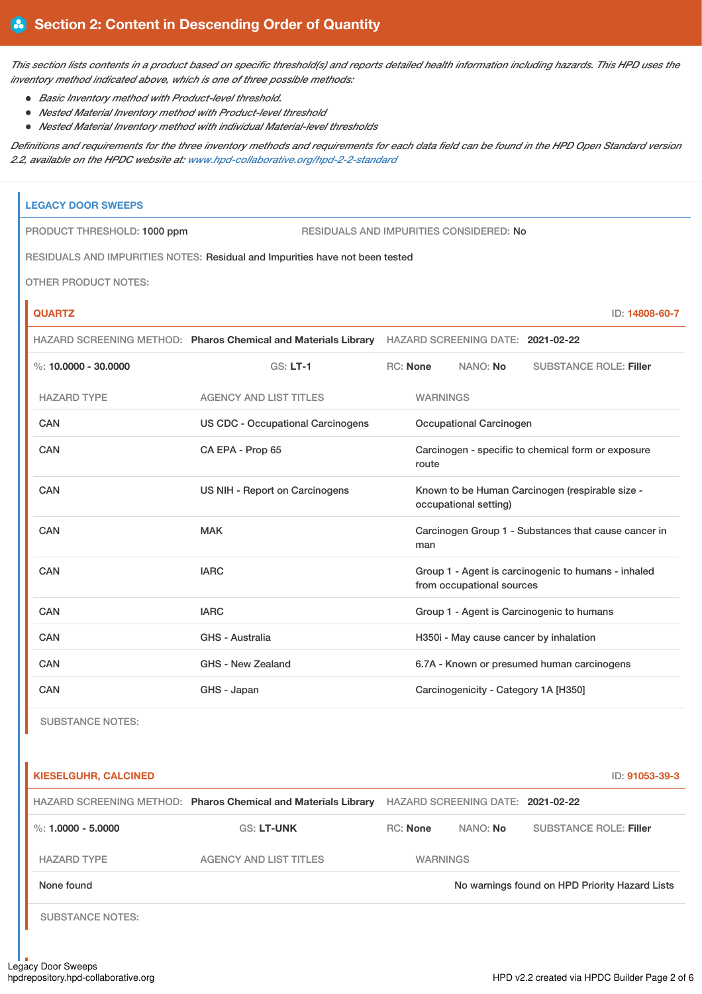This section lists contents in a product based on specific threshold(s) and reports detailed health information including hazards. This HPD uses the *inventory method indicated above, which is one of three possible methods:*

- *Basic Inventory method with Product-level threshold.*
- *Nested Material Inventory method with Product-level threshold*
- *Nested Material Inventory method with individual Material-level thresholds*

Definitions and requirements for the three inventory methods and requirements for each data field can be found in the HPD Open Standard version *2.2, available on the HPDC website at: [www.hpd-collaborative.org/hpd-2-2-standard](https://www.hpd-collaborative.org/hpd-2-2-standard)*

| <b>LEGACY DOOR SWEEPS</b>   |                                                                                                  |                                                             |                 |                                        |                                                     |                |
|-----------------------------|--------------------------------------------------------------------------------------------------|-------------------------------------------------------------|-----------------|----------------------------------------|-----------------------------------------------------|----------------|
| PRODUCT THRESHOLD: 1000 ppm | <b>RESIDUALS AND IMPURITIES CONSIDERED: No</b>                                                   |                                                             |                 |                                        |                                                     |                |
|                             | RESIDUALS AND IMPURITIES NOTES: Residual and Impurities have not been tested                     |                                                             |                 |                                        |                                                     |                |
| <b>OTHER PRODUCT NOTES:</b> |                                                                                                  |                                                             |                 |                                        |                                                     |                |
| <b>QUARTZ</b>               |                                                                                                  |                                                             |                 |                                        |                                                     | ID: 14808-60-7 |
|                             | HAZARD SCREENING METHOD: Pharos Chemical and Materials Library HAZARD SCREENING DATE: 2021-02-22 |                                                             |                 |                                        |                                                     |                |
| %: $10.0000 - 30.0000$      | $GS: LT-1$                                                                                       |                                                             | RC: None        | NANO: No                               | <b>SUBSTANCE ROLE: Filler</b>                       |                |
| <b>HAZARD TYPE</b>          | <b>AGENCY AND LIST TITLES</b>                                                                    |                                                             | <b>WARNINGS</b> |                                        |                                                     |                |
| <b>CAN</b>                  | <b>US CDC - Occupational Carcinogens</b>                                                         |                                                             |                 | Occupational Carcinogen                |                                                     |                |
| CAN                         | CA EPA - Prop 65                                                                                 |                                                             | route           |                                        | Carcinogen - specific to chemical form or exposure  |                |
| <b>CAN</b>                  | US NIH - Report on Carcinogens                                                                   |                                                             |                 | occupational setting)                  | Known to be Human Carcinogen (respirable size -     |                |
| CAN                         | <b>MAK</b>                                                                                       | Carcinogen Group 1 - Substances that cause cancer in<br>man |                 |                                        |                                                     |                |
| CAN                         | <b>IARC</b>                                                                                      |                                                             |                 | from occupational sources              | Group 1 - Agent is carcinogenic to humans - inhaled |                |
| CAN                         | <b>IARC</b><br>Group 1 - Agent is Carcinogenic to humans                                         |                                                             |                 |                                        |                                                     |                |
| CAN                         | GHS - Australia                                                                                  |                                                             |                 | H350i - May cause cancer by inhalation |                                                     |                |
| <b>CAN</b>                  | <b>GHS - New Zealand</b>                                                                         |                                                             |                 |                                        | 6.7A - Known or presumed human carcinogens          |                |
| <b>CAN</b><br>GHS - Japan   |                                                                                                  |                                                             |                 | Carcinogenicity - Category 1A [H350]   |                                                     |                |

SUBSTANCE NOTES:

| <b>KIESELGUHR, CALCINED</b>                                    |                               |                                   | ID: 91053-39-3 |                                                |
|----------------------------------------------------------------|-------------------------------|-----------------------------------|----------------|------------------------------------------------|
| HAZARD SCREENING METHOD: Pharos Chemical and Materials Library |                               | HAZARD SCREENING DATE: 2021-02-22 |                |                                                |
| %: $1.0000 - 5.0000$                                           | <b>GS: LT-UNK</b>             | RC: None                          | NANO: No       | <b>SUBSTANCE ROLE: Filler</b>                  |
| <b>HAZARD TYPE</b>                                             | <b>AGENCY AND LIST TITLES</b> | <b>WARNINGS</b>                   |                |                                                |
| None found                                                     |                               |                                   |                | No warnings found on HPD Priority Hazard Lists |
| <b>SUBSTANCE NOTES:</b>                                        |                               |                                   |                |                                                |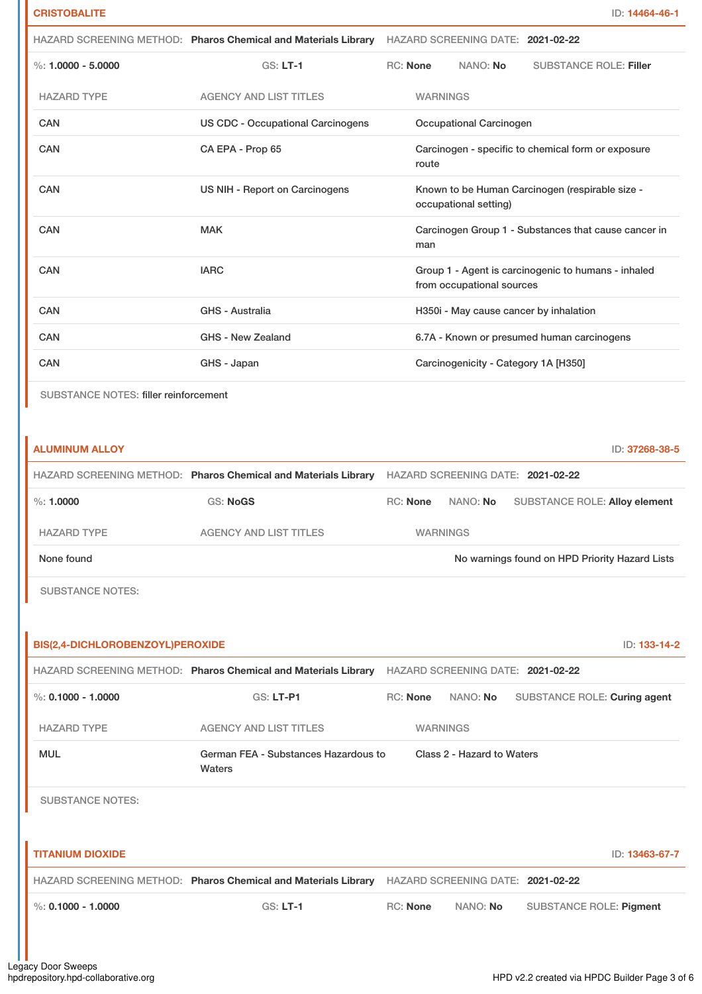|                                       |                                          | HAZARD SCREENING METHOD: Pharos Chemical and Materials Library HAZARD SCREENING DATE: 2021-02-22 |
|---------------------------------------|------------------------------------------|--------------------------------------------------------------------------------------------------|
| $\%: 1.0000 - 5.0000$                 | $GS: LT-1$                               | RC: None<br>NANO: No<br><b>SUBSTANCE ROLE: Filler</b>                                            |
| <b>HAZARD TYPE</b>                    | <b>AGENCY AND LIST TITLES</b>            | <b>WARNINGS</b>                                                                                  |
| <b>CAN</b>                            | <b>US CDC - Occupational Carcinogens</b> | <b>Occupational Carcinogen</b>                                                                   |
| <b>CAN</b>                            | CA EPA - Prop 65                         | Carcinogen - specific to chemical form or exposure<br>route                                      |
| <b>CAN</b>                            | US NIH - Report on Carcinogens           | Known to be Human Carcinogen (respirable size -<br>occupational setting)                         |
| CAN                                   | <b>MAK</b>                               | Carcinogen Group 1 - Substances that cause cancer in<br>man                                      |
| <b>CAN</b>                            | <b>IARC</b>                              | Group 1 - Agent is carcinogenic to humans - inhaled<br>from occupational sources                 |
| <b>CAN</b>                            | GHS - Australia                          | H350i - May cause cancer by inhalation                                                           |
| <b>CAN</b>                            | GHS - New Zealand                        | 6.7A - Known or presumed human carcinogens                                                       |
| CAN                                   | GHS - Japan                              | Carcinogenicity - Category 1A [H350]                                                             |
| SUBSTANCE NOTES: filler reinforcement |                                          |                                                                                                  |
| <b>ALUMINUM ALLOY</b>                 |                                          | ID: 37268-38-5                                                                                   |
|                                       |                                          | HAZARD SCREENING METHOD: Pharos Chemical and Materials Library HAZARD SCREENING DATE: 2021-02-22 |
| $\%: 1.0000$                          | <b>GS: NoGS</b>                          | RC: None<br>NANO: No<br>SUBSTANCE ROLE: Alloy element                                            |
| <b>HAZARD TYPE</b>                    | <b>AGENCY AND LIST TITLES</b>            | <b>WARNINGS</b>                                                                                  |

None found Now arrings found on HPD Priority Hazard Lists

SUBSTANCE NOTES:

| BIS(2,4-DICHLOROBENZOYL)PEROXIDE |                                                                |                 |                                   |                                | ID: 133-14-2   |
|----------------------------------|----------------------------------------------------------------|-----------------|-----------------------------------|--------------------------------|----------------|
|                                  | HAZARD SCREENING METHOD: Pharos Chemical and Materials Library |                 | HAZARD SCREENING DATE: 2021-02-22 |                                |                |
| %: $0.1000 - 1.0000$             | <b>GS: LT-P1</b>                                               | <b>RC:</b> None | NANO: No                          | SUBSTANCE ROLE: Curing agent   |                |
| <b>HAZARD TYPE</b>               | <b>AGENCY AND LIST TITLES</b>                                  | <b>WARNINGS</b> |                                   |                                |                |
| <b>MUL</b>                       | German FEA - Substances Hazardous to<br>Waters                 |                 | Class 2 - Hazard to Waters        |                                |                |
| <b>SUBSTANCE NOTES:</b>          |                                                                |                 |                                   |                                |                |
|                                  |                                                                |                 |                                   |                                |                |
| <b>TITANIUM DIOXIDE</b>          |                                                                |                 |                                   |                                | ID: 13463-67-7 |
|                                  | HAZARD SCREENING METHOD: Pharos Chemical and Materials Library |                 | HAZARD SCREENING DATE: 2021-02-22 |                                |                |
| %: $0.1000 - 1.0000$             | $GS: LT-1$                                                     | <b>RC:</b> None | NANO: No                          | <b>SUBSTANCE ROLE: Pigment</b> |                |
|                                  |                                                                |                 |                                   |                                |                |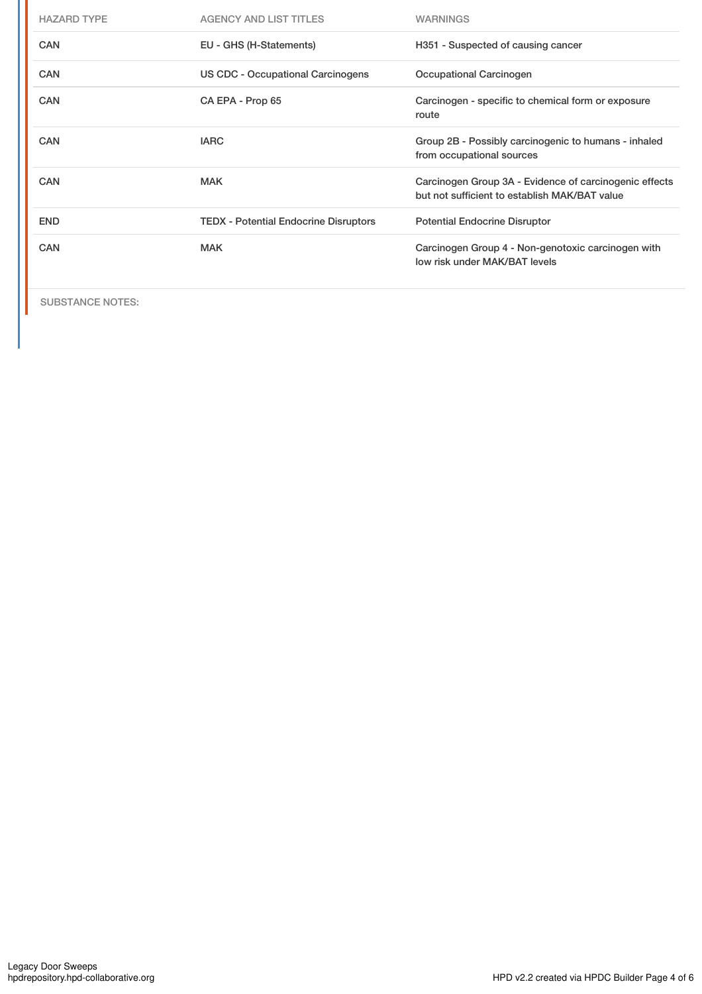| <b>HAZARD TYPE</b> | <b>AGENCY AND LIST TITLES</b>                | <b>WARNINGS</b>                                                                                         |
|--------------------|----------------------------------------------|---------------------------------------------------------------------------------------------------------|
| <b>CAN</b>         | EU - GHS (H-Statements)                      | H351 - Suspected of causing cancer                                                                      |
| <b>CAN</b>         | US CDC - Occupational Carcinogens            | Occupational Carcinogen                                                                                 |
| <b>CAN</b>         | CA EPA - Prop 65                             | Carcinogen - specific to chemical form or exposure<br>route                                             |
| <b>CAN</b>         | <b>IARC</b>                                  | Group 2B - Possibly carcinogenic to humans - inhaled<br>from occupational sources                       |
| <b>CAN</b>         | <b>MAK</b>                                   | Carcinogen Group 3A - Evidence of carcinogenic effects<br>but not sufficient to establish MAK/BAT value |
| <b>END</b>         | <b>TEDX</b> - Potential Endocrine Disruptors | <b>Potential Endocrine Disruptor</b>                                                                    |
| CAN                | <b>MAK</b>                                   | Carcinogen Group 4 - Non-genotoxic carcinogen with<br>low risk under MAK/BAT levels                     |

SUBSTANCE NOTES: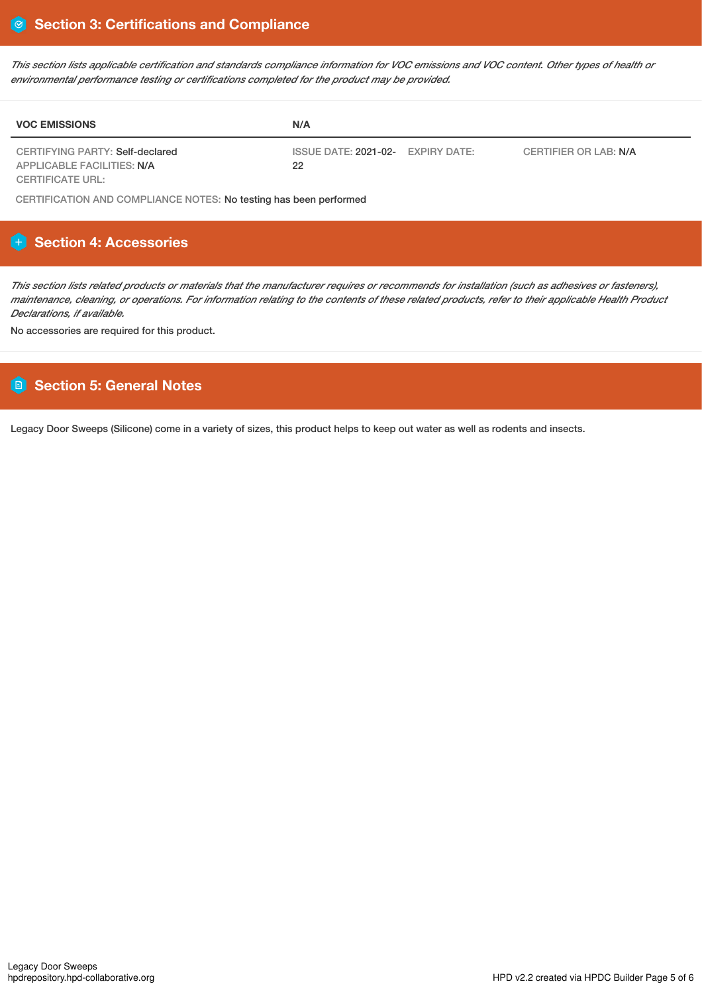This section lists applicable certification and standards compliance information for VOC emissions and VOC content. Other types of health or *environmental performance testing or certifications completed for the product may be provided.*

| <b>VOC EMISSIONS</b>                                          | N/A                                                              |  |
|---------------------------------------------------------------|------------------------------------------------------------------|--|
| CERTIFYING PARTY: Self-declared<br>APPLICABLE FACILITIES: N/A | ISSUE DATE: 2021-02- EXPIRY DATE:<br>CERTIFIER OR LAB: N/A<br>22 |  |
| CERTIFICATE URL:                                              |                                                                  |  |

CERTIFICATION AND COMPLIANCE NOTES: No testing has been performed

## **Section 4: Accessories**

This section lists related products or materials that the manufacturer requires or recommends for installation (such as adhesives or fasteners), maintenance, cleaning, or operations. For information relating to the contents of these related products, refer to their applicable Health Product *Declarations, if available.*

No accessories are required for this product.

## **Section 5: General Notes**

Legacy Door Sweeps (Silicone) come in a variety of sizes, this product helps to keep out water as well as rodents and insects.